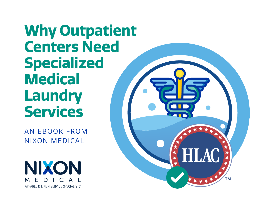**Why Outpatient Centers Need Specialized Medical Laundry Services**

AN EBOOK FROM NIXON MEDICAL



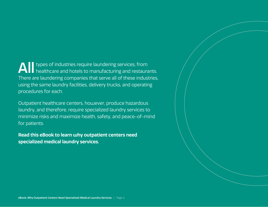### **All** types of industries require laundering services, from<br>healthcare and hotels to manufacturing and restaurants. There are laundering companies that serve all of these industries, using the same laundry facilities, delivery trucks, and operating procedures for each.

Outpatient healthcare centers, however, produce hazardous laundry, and therefore, require specialized laundry services to minimize risks and maximize health, safety, and peace-of-mind for patients.

**Read this eBook to learn why outpatient centers need specialized medical laundry services.**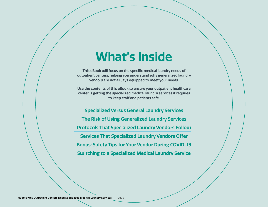### **What's Inside**

This eBook will focus on the specific medical laundry needs of outpatient centers, helping you understand why generalized laundry vendors are not always equipped to meet your needs.

Use the contents of this eBook to ensure your outpatient healthcare center is getting the specialized medical laundry services it requires to keep staff and patients safe.

**Specialized Versus General Laundry Services The Risk of Using Generalized Laundry Services Protocols That Specialized Laundry Vendors Follow Services That Specialized Laundry Vendors Offer Bonus: Safety Tips for Your Vendor During COVID-19 Switching to a Specialized Medical Laundry Service**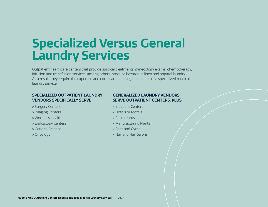## **Specialized Versus General Laundry Services**

Outpatient healthcare centers that provide surgical treatments, gynecology exams, chemotherapy, infusion and transfusion services, among others, produce hazardous linen and apparel laundry. As a result, they require the expertise and compliant handling techniques of a specialized medical laundry service.

#### **SPECIALIZED OUTPATIENT LAUNDRY VENDORS SPECIFICALLY SERVE:**

- » Surgery Centers
- » Imaging Centers
- » Women's Health
- » Endoscopy Centers
- » General Practice
- » Oncology

#### **GENERALIZED LAUNDRY VENDORS SERVE OUTPATIENT CENTERS, PLUS:**

- » Inpatient Centers
- » Hotels or Motels
- » Restaurants
- » Manufacturing Plants
- » Spas and Gyms
- » Nail and Hair Salons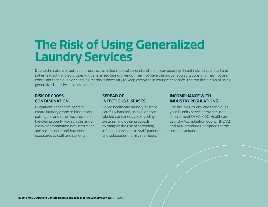## **The Risk of Using Generalized Laundry Services**

Due to the nature of outpatient healthcare, soiled medical apparel and linens can pose significant risks to your staff and patients if not handled properly. A generalized laundry vendor may not have the proper accreditations and may not use compliant techniques or handling methods necessary to keep everyone in your practice safe. The top three risks of using generalized laundry services include:

#### **RISK OF CROSS-CONTAMINATION**

Outpatient healthcare centers create laundry prone to bloodborne pathogens and other hazards. If not handled properly, you run the risk of cross-contamination between clean and soiled linens and hazardous exposures to staff and patients.

#### **SPREAD OF INFECTIOUS DISEASES**

Soiled healthcare laundry must be carefully handled, using biohazard labeled containers, color-coding systems, and other protocols to mitigate the risk of spreading infectious diseases to staff, patients, and subsequent family members.

#### **INCOMPLIANCE WITH INDUSTRY REGULATIONS**

The facilities, trucks, and techniques your laundry service provider uses should meet OSHA, CDC, Healthcare Laundry Accreditation Council (HLAC), and APIC standards, designed for the utmost sanitation.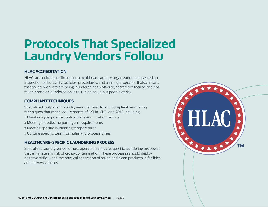## **Protocols That Specialized Laundry Vendors Follow**

#### **HLAC ACCREDITATION**

HLAC-accreditation affirms that a healthcare laundry organization has passed an inspection of its facility, policies, procedures, and training programs. It also means that soiled products are being laundered at an off-site, accredited facility, and not taken home or laundered on-site, which could put people at risk.

#### **COMPLIANT TECHNIQUES**

Specialized, outpatient laundry vendors must follow compliant laundering techniques that meet requirements of OSHA, CDC, and APIC, including:

- » Maintaining exposure control plans and titration reports
- » Meeting bloodborne pathogens requirements
- » Meeting specific laundering temperatures
- » Utilizing specific wash formulas and process times

#### **HEALTHCARE-SPECIFIC LAUNDERING PROCESS**

Specialized laundry vendors must operate healthcare-specific laundering processes that eliminate any risk of cross-contamination. These processes should deploy negative airflow and the physical separation of soiled and clean products in facilities and delivery vehicles.

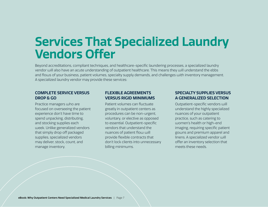## **Services That Specialized Laundry Vendors Offer**

Beyond accreditations, compliant techniques, and healthcare-specific laundering processes, a specialized laundry vendor will also have an acute understanding of outpatient healthcare. This means they will understand the ebbs and flows of your business, patient volumes, specialty supply demands, and challenges with inventory management. A specialized laundry vendor may provide these services:

#### **COMPLETE SERVICE VERSUS DROP & GO**

Practice managers who are focused on overseeing the patient experience don't have time to spend unpacking, distributing, and stocking supplies each week. Unlike generalized vendors that simply drop off packaged supplies, specialized vendors may deliver, stock, count, and manage inventory.

#### **FLEXIBLE AGREEMENTS VERSUS RIGID MINIMUMS**

Patient volumes can fluctuate greatly in outpatient centers as procedures can be non-urgent, voluntary, or elective as opposed to essential. Outpatient-specific vendors that understand the nuances of patient flow will provide flexible contracts that don't lock clients into unnecessary billing minimums.

#### **SPECIALTY SUPPLIES VERSUS A GENERALIZED SELECTION**

Outpatient-specific vendors will understand the highly specialized nuances of your outpatient practice, such as catering to women's health or high-end imaging, requiring specific patient gowns and premium apparel and linens. A specialized vendor will offer an inventory selection that meets these needs.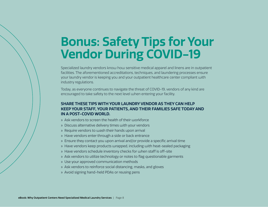## **Bonus: Safety Tips for Your Vendor During COVID-19**

Specialized laundry vendors know how sensitive medical apparel and linens are in outpatient facilities. The aforementioned accreditations, techniques, and laundering processes ensure your laundry vendor is keeping you and your outpatient healthcare center compliant with industry regulations.

Today, as everyone continues to navigate the threat of COVID-19, vendors of any kind are encouraged to take safety to the next level when entering your facility.

#### **SHARE THESE TIPS WITH YOUR LAUNDRY VENDOR AS THEY CAN HELP KEEP YOUR STAFF, YOUR PATIENTS, AND THEIR FAMILIES SAFE TODAY AND IN A POST-COVID WORLD.**

- » Ask vendors to screen the health of their workforce
- » Discuss alternative delivery times with your vendors
- » Require vendors to wash their hands upon arrival
- » Have vendors enter through a side or back entrance
- » Ensure they contact you upon arrival and/or provide a specific arrival time
- » Have vendors keep products wrapped, including with heat-sealed packaging
- » Have vendors schedule inventory checks for when staff is off-site
- » Ask vendors to utilize technology or notes to flag questionable garments
- » Use your approved communication methods
- » Ask vendors to reinforce social distancing, masks, and gloves
- » Avoid signing hand-held PDAs or reusing pens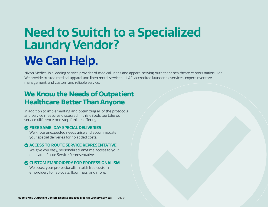# **Need to Switch to a Specialized Laundry Vendor? We Can Help.**

Nixon Medical is a leading service provider of medical linens and apparel serving outpatient healthcare centers nationwide. We provide trusted medical apparel and linen rental services, HLAC-accredited laundering services, expert inventory management, and custom and reliable service.

### **We Know the Needs of Outpatient Healthcare Better Than Anyone**

In addition to implementing and optimizing all of the protocols and service measures discussed in this eBook, we take our service difference one step further, offering:

#### **FREE SAME-DAY SPECIAL DELIVERIES**

We know unexpected needs arise and accommodate your special deliveries for no added costs.

#### **ACCESS TO ROUTE SERVICE REPRESENTATIVE**

We give you easy, personalized, anytime access to your dedicated Route Service Representative.

#### **CUSTOM EMBROIDERY FOR PROFESSIONALISM**

We boost your professionalism with free custom embroidery for lab coats, floor mats, and more.